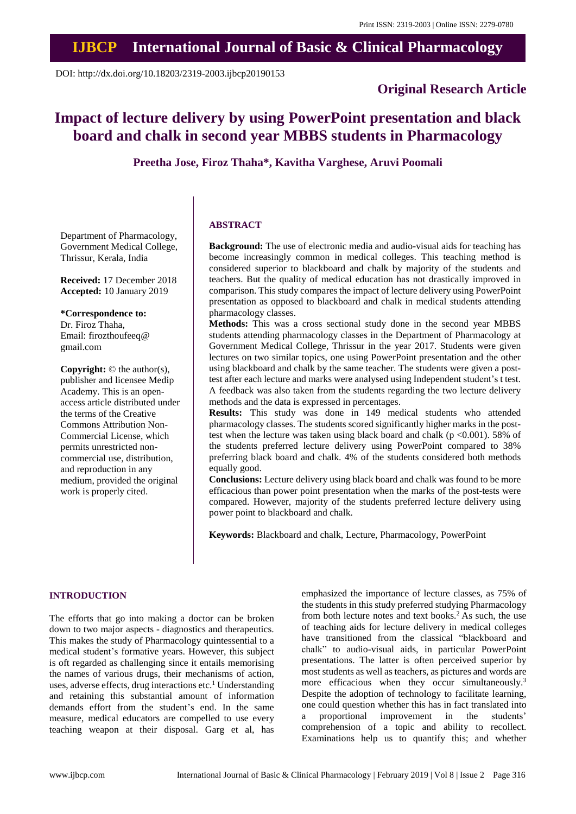## **IJBCP International Journal of Basic & Clinical Pharmacology**

DOI: http://dx.doi.org/10.18203/2319-2003.ijbcp20190153

### **Original Research Article**

# **Impact of lecture delivery by using PowerPoint presentation and black board and chalk in second year MBBS students in Pharmacology**

**Preetha Jose, Firoz Thaha\*, Kavitha Varghese, Aruvi Poomali**

Department of Pharmacology, Government Medical College, Thrissur, Kerala, India

**Received:** 17 December 2018 **Accepted:** 10 January 2019

**\*Correspondence to:** Dr. Firoz Thaha,

Email: firozthoufeeq@ gmail.com

**Copyright:** © the author(s), publisher and licensee Medip Academy. This is an openaccess article distributed under the terms of the Creative Commons Attribution Non-Commercial License, which permits unrestricted noncommercial use, distribution, and reproduction in any medium, provided the original work is properly cited.

#### **ABSTRACT**

**Background:** The use of electronic media and audio-visual aids for teaching has become increasingly common in medical colleges. This teaching method is considered superior to blackboard and chalk by majority of the students and teachers. But the quality of medical education has not drastically improved in comparison. This study compares the impact of lecture delivery using PowerPoint presentation as opposed to blackboard and chalk in medical students attending pharmacology classes.

**Methods:** This was a cross sectional study done in the second year MBBS students attending pharmacology classes in the Department of Pharmacology at Government Medical College, Thrissur in the year 2017. Students were given lectures on two similar topics, one using PowerPoint presentation and the other using blackboard and chalk by the same teacher. The students were given a posttest after each lecture and marks were analysed using Independent student's t test. A feedback was also taken from the students regarding the two lecture delivery methods and the data is expressed in percentages.

**Results:** This study was done in 149 medical students who attended pharmacology classes. The students scored significantly higher marks in the posttest when the lecture was taken using black board and chalk ( $p < 0.001$ ). 58% of the students preferred lecture delivery using PowerPoint compared to 38% preferring black board and chalk. 4% of the students considered both methods equally good.

**Conclusions:** Lecture delivery using black board and chalk was found to be more efficacious than power point presentation when the marks of the post-tests were compared. However, majority of the students preferred lecture delivery using power point to blackboard and chalk.

**Keywords:** Blackboard and chalk, Lecture, Pharmacology, PowerPoint

#### **INTRODUCTION**

The efforts that go into making a doctor can be broken down to two major aspects - diagnostics and therapeutics. This makes the study of Pharmacology quintessential to a medical student's formative years. However, this subject is oft regarded as challenging since it entails memorising the names of various drugs, their mechanisms of action, uses, adverse effects, drug interactions etc.<sup>1</sup> Understanding and retaining this substantial amount of information demands effort from the student's end. In the same measure, medical educators are compelled to use every teaching weapon at their disposal. Garg et al, has emphasized the importance of lecture classes, as 75% of the students in this study preferred studying Pharmacology from both lecture notes and text books.<sup>2</sup> As such, the use of teaching aids for lecture delivery in medical colleges have transitioned from the classical "blackboard and chalk" to audio-visual aids, in particular PowerPoint presentations. The latter is often perceived superior by most students as well as teachers, as pictures and words are more efficacious when they occur simultaneously.<sup>3</sup> Despite the adoption of technology to facilitate learning, one could question whether this has in fact translated into a proportional improvement in the students' comprehension of a topic and ability to recollect. Examinations help us to quantify this; and whether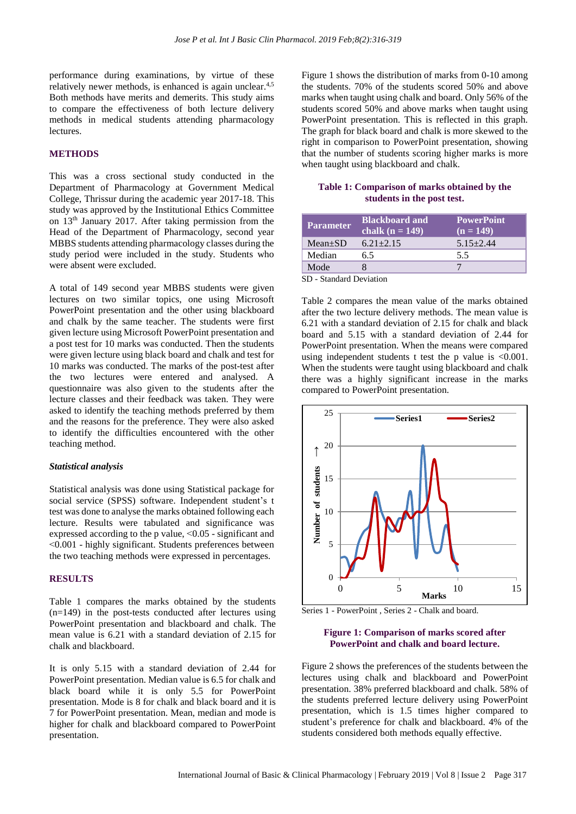performance during examinations, by virtue of these relatively newer methods, is enhanced is again unclear.<sup>4,5</sup> Both methods have merits and demerits. This study aims to compare the effectiveness of both lecture delivery methods in medical students attending pharmacology lectures.

#### **METHODS**

This was a cross sectional study conducted in the Department of Pharmacology at Government Medical College, Thrissur during the academic year 2017-18. This study was approved by the Institutional Ethics Committee on 13th January 2017. After taking permission from the Head of the Department of Pharmacology, second year MBBS students attending pharmacology classes during the study period were included in the study. Students who were absent were excluded.

A total of 149 second year MBBS students were given lectures on two similar topics, one using Microsoft PowerPoint presentation and the other using blackboard and chalk by the same teacher. The students were first given lecture using Microsoft PowerPoint presentation and a post test for 10 marks was conducted. Then the students were given lecture using black board and chalk and test for 10 marks was conducted. The marks of the post-test after the two lectures were entered and analysed. A questionnaire was also given to the students after the lecture classes and their feedback was taken. They were asked to identify the teaching methods preferred by them and the reasons for the preference. They were also asked to identify the difficulties encountered with the other teaching method.

#### *Statistical analysis*

Statistical analysis was done using Statistical package for social service (SPSS) software. Independent student's t test was done to analyse the marks obtained following each lecture. Results were tabulated and significance was expressed according to the p value, ˂0.05 - significant and ˂0.001 - highly significant. Students preferences between the two teaching methods were expressed in percentages.

#### **RESULTS**

Table 1 compares the marks obtained by the students (n=149) in the post-tests conducted after lectures using PowerPoint presentation and blackboard and chalk. The mean value is 6.21 with a standard deviation of 2.15 for chalk and blackboard.

It is only 5.15 with a standard deviation of 2.44 for PowerPoint presentation. Median value is 6.5 for chalk and black board while it is only 5.5 for PowerPoint presentation. Mode is 8 for chalk and black board and it is 7 for PowerPoint presentation. Mean, median and mode is higher for chalk and blackboard compared to PowerPoint presentation.

Figure 1 shows the distribution of marks from 0-10 among the students. 70% of the students scored 50% and above marks when taught using chalk and board. Only 56% of the students scored 50% and above marks when taught using PowerPoint presentation. This is reflected in this graph. The graph for black board and chalk is more skewed to the right in comparison to PowerPoint presentation, showing that the number of students scoring higher marks is more when taught using blackboard and chalk.

#### **Table 1: Comparison of marks obtained by the students in the post test.**

| <b>Parameter</b> | <b>Blackboard and</b><br>chalk $(n = 149)$ | <b>PowerPoint</b><br>$(n = 149)$ |
|------------------|--------------------------------------------|----------------------------------|
| $Mean+SD$        | $6.21 + 2.15$                              | $5.15 + 2.44$                    |
| Median           | 6.5                                        | 55                               |
| Mode             |                                            |                                  |

SD - Standard Deviation

Table 2 compares the mean value of the marks obtained after the two lecture delivery methods. The mean value is 6.21 with a standard deviation of 2.15 for chalk and black board and 5.15 with a standard deviation of 2.44 for PowerPoint presentation. When the means were compared using independent students t test the p value is  $\leq 0.001$ . When the students were taught using blackboard and chalk there was a highly significant increase in the marks compared to PowerPoint presentation.



Series 1 - PowerPoint , Series 2 - Chalk and board.

#### **Figure 1: Comparison of marks scored after PowerPoint and chalk and board lecture.**

Figure 2 shows the preferences of the students between the lectures using chalk and blackboard and PowerPoint presentation. 38% preferred blackboard and chalk. 58% of the students preferred lecture delivery using PowerPoint presentation, which is 1.5 times higher compared to student's preference for chalk and blackboard. 4% of the students considered both methods equally effective.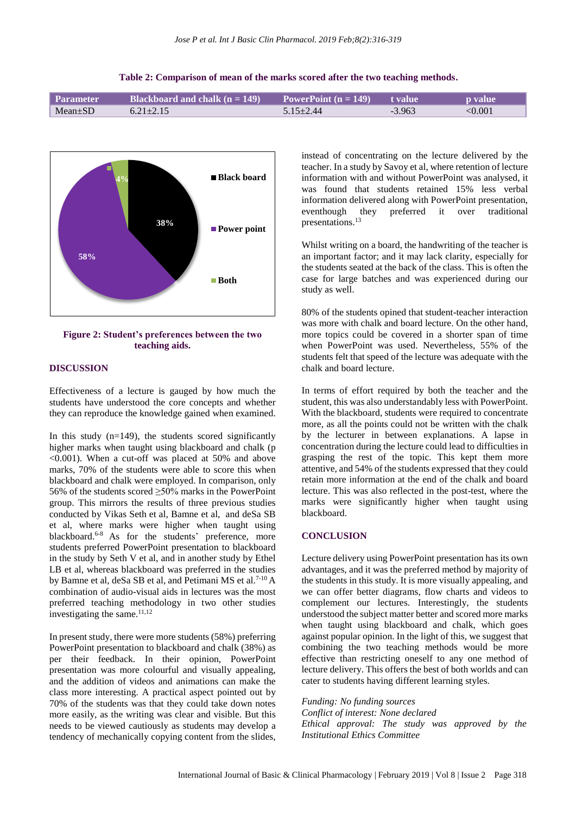| Table 2: Comparison of mean of the marks scored after the two teaching methods. |
|---------------------------------------------------------------------------------|
|                                                                                 |

| Parameter <b> </b> | Blackboard and chalk $(n = 149)$ | PowerPoint $(n = 149)$ | $\blacksquare$ t value $\blacksquare$ | <b>b</b> value |
|--------------------|----------------------------------|------------------------|---------------------------------------|----------------|
| $Mean \pm SD$      | $6.21 + 2.15$                    | $5.15 \pm 2.44$        | $-3.963$                              | $< \!\! 0.001$ |



**Figure 2: Student's preferences between the two teaching aids.**

#### **DISCUSSION**

Effectiveness of a lecture is gauged by how much the students have understood the core concepts and whether they can reproduce the knowledge gained when examined.

In this study  $(n=149)$ , the students scored significantly higher marks when taught using blackboard and chalk (p  $\leq 0.001$ ). When a cut-off was placed at 50% and above marks, 70% of the students were able to score this when blackboard and chalk were employed. In comparison, only 56% of the students scored  $\geq$ 50% marks in the PowerPoint group. This mirrors the results of three previous studies conducted by Vikas Seth et al, Bamne et al, and deSa SB et al, where marks were higher when taught using blackboard.<sup>6-8</sup> As for the students' preference, more students preferred PowerPoint presentation to blackboard in the study by Seth V et al, and in another study by Ethel LB et al, whereas blackboard was preferred in the studies by Bamne et al, deSa SB et al, and Petimani MS et al.<sup>7-10</sup> A combination of audio-visual aids in lectures was the most preferred teaching methodology in two other studies investigating the same. $11,12$ 

In present study, there were more students (58%) preferring PowerPoint presentation to blackboard and chalk (38%) as per their feedback. In their opinion, PowerPoint presentation was more colourful and visually appealing, and the addition of videos and animations can make the class more interesting. A practical aspect pointed out by 70% of the students was that they could take down notes more easily, as the writing was clear and visible. But this needs to be viewed cautiously as students may develop a tendency of mechanically copying content from the slides,

instead of concentrating on the lecture delivered by the teacher. In a study by Savoy et al, where retention of lecture information with and without PowerPoint was analysed, it was found that students retained 15% less verbal information delivered along with PowerPoint presentation, eventhough they preferred it over traditional presentations.<sup>13</sup>

Whilst writing on a board, the handwriting of the teacher is an important factor; and it may lack clarity, especially for the students seated at the back of the class. This is often the case for large batches and was experienced during our study as well.

80% of the students opined that student-teacher interaction was more with chalk and board lecture. On the other hand, more topics could be covered in a shorter span of time when PowerPoint was used. Nevertheless, 55% of the students felt that speed of the lecture was adequate with the chalk and board lecture.

In terms of effort required by both the teacher and the student, this was also understandably less with PowerPoint. With the blackboard, students were required to concentrate more, as all the points could not be written with the chalk by the lecturer in between explanations. A lapse in concentration during the lecture could lead to difficulties in grasping the rest of the topic. This kept them more attentive, and 54% of the students expressed that they could retain more information at the end of the chalk and board lecture. This was also reflected in the post-test, where the marks were significantly higher when taught using blackboard.

#### **CONCLUSION**

Lecture delivery using PowerPoint presentation has its own advantages, and it was the preferred method by majority of the students in this study. It is more visually appealing, and we can offer better diagrams, flow charts and videos to complement our lectures. Interestingly, the students understood the subject matter better and scored more marks when taught using blackboard and chalk, which goes against popular opinion. In the light of this, we suggest that combining the two teaching methods would be more effective than restricting oneself to any one method of lecture delivery. This offers the best of both worlds and can cater to students having different learning styles.

*Funding: No funding sources Conflict of interest: None declared Ethical approval: The study was approved by the Institutional Ethics Committee*